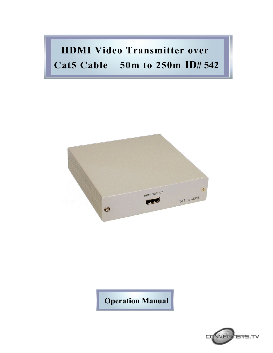# **HDMI Video [Transmitter](http://www.converters.tv/products/vga_to_vga/425.html) over Cat5 [Cable](http://www.converters.tv/products/vga_to_vga/425.html) – 50m to 250m ID# 542**



# **Operation Manual**

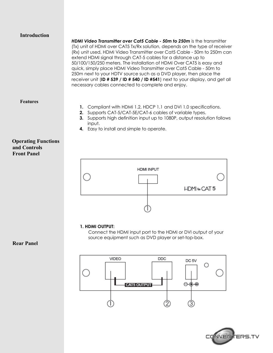#### **Introduction**

*HDMI Video Transmitter over Cat5 Cable - 50m to 250m* is the transmitter (Tx) unit of HDMI over CAT5 Tx/Rx solution, depends on the type of receiver (Rx) unit used, HDMI Video Transmitter over Cat5 Cable - 50m to 250m can extend HDMI signal through CAT-5 cables for a distance up to 50/100/150/250 meters. The installation of HDMI Over CAT5 is easy and quick, simply place HDMI Video Transmitter over Cat5 Cable - 50m to 250m next to your HDTV source such as a DVD player, then place the receiver unit (**ID # 539 / ID # 540 / ID #541**) next to your display, and get all necessary cables connected to complete and enjoy.

#### **Features**

- **1.** Compliant with HDMI 1.2, HDCP 1.1 and DVI 1.0 specifications.
- **2.** Supports CAT-5/CAT-5E/CAT-6 cables of variable types.
- **3.** Supports high definition input up to 1080P, output resolution follows input.
- **4.** Easy to install and simple to operate.

### **Operating Functions and Controls Front Panel**



#### **1. HDMI OUTPUT:**

Connect the HDMI input port to the HDMI or DVI output of your source equipment such as DVD player or set-top-box.





**Rear Panel**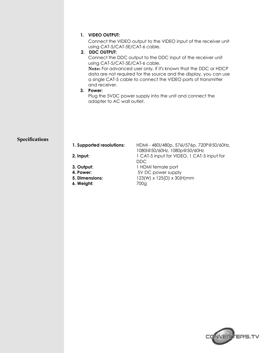#### **1. VIDEO OUTPUT:**

Connect the VIDEO output to the VIDEO input of the receiver unit using CAT-5/CAT-5E/CAT-6 cable.

## **2. DDC OUTPUT:**

Connect the DDC output to the DDC input of the receiver unit using CAT-5/CAT-5E/CAT-6 cable. **Note:** For advanced user only, if it's known that the DDC or HDCP data are not required for the source and the display, you can use

a single CAT-5 cable to connect the VIDEO ports of transmitter and receiver.

#### **3. Power:**

Plug the 5VDC power supply into the unit and connect the adapter to AC wall outlet.

#### **Specifications**

| 1. Supported resolutions:                               | HDMI - 480i/480p, 576i/576p, 720P@50/60Hz,<br>1080i@50/60Hz, 1080p@50/60Hz    |
|---------------------------------------------------------|-------------------------------------------------------------------------------|
| 2. Input:                                               | 1 CAT-5 input for VIDEO, 1 CAT-5 input for<br>DDC.                            |
| 3. Output:<br>4. Power:<br>5. Dimensions:<br>6. Weight: | 1 HDMI female port<br>5V DC power supply<br>123(W) x 125(D) x 30(H)mm<br>700g |